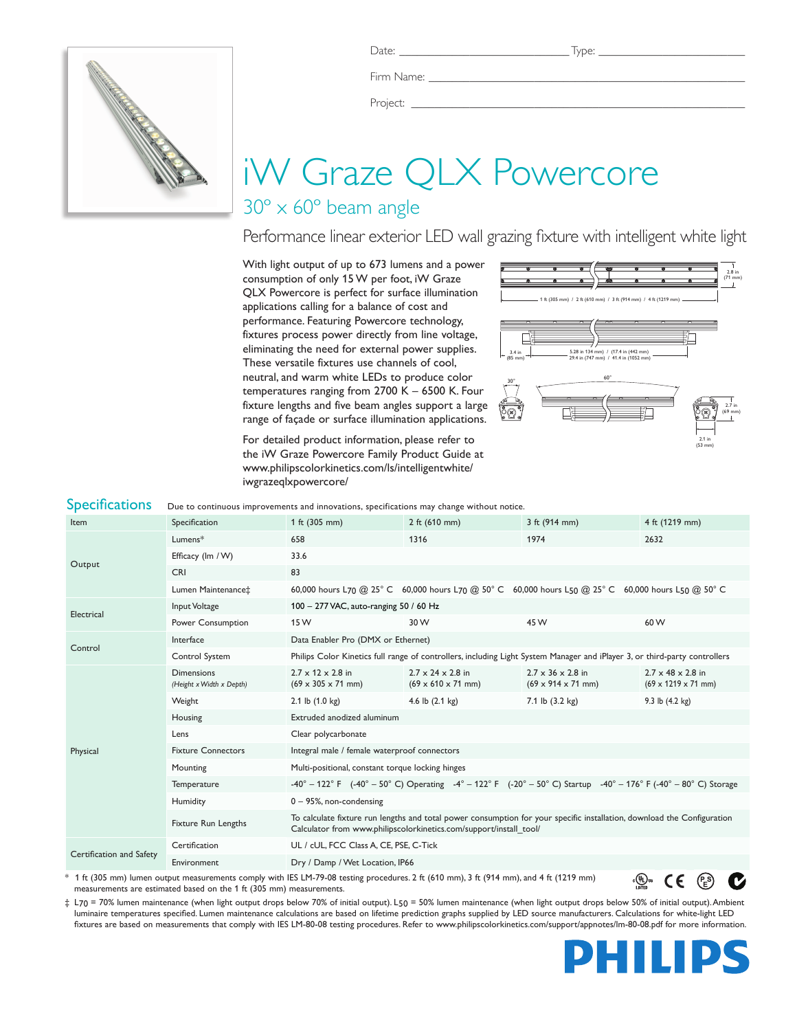

Firm Name:

Project: \_

# iW Graze QLX Powercore

# 30º x 60º beam angle

## Performance linear exterior LED wall grazing fixture with intelligent white light

With light output of up to 673 lumens and a power consumption of only 15 W per foot, iW Graze QLX Powercore is perfect for surface illumination applications calling for a balance of cost and performance. Featuring Powercore technology, fixtures process power directly from line voltage, eliminating the need for external power supplies. These versatile fixtures use channels of cool, neutral, and warm white LEDs to produce color temperatures ranging from 2700 K – 6500 K. Four fixture lengths and five beam angles support a large range of façade or surface illumination applications.

For detailed product information, please refer to the iW Graze Powercore Family Product Guide at www.philipscolorkinetics.com/ls/intelligentwhite/ iwgrazeqlxpowercore/



| <b>Specifications</b>                                                                                                                                                                                                                                                                                                                                                                                                                                                                        | Due to continuous improvements and innovations, specifications may change without notice. |                                                                                                                                                                                               |                                                                         |                                                                                                                                                                                                                    |                                                                  |  |  |
|----------------------------------------------------------------------------------------------------------------------------------------------------------------------------------------------------------------------------------------------------------------------------------------------------------------------------------------------------------------------------------------------------------------------------------------------------------------------------------------------|-------------------------------------------------------------------------------------------|-----------------------------------------------------------------------------------------------------------------------------------------------------------------------------------------------|-------------------------------------------------------------------------|--------------------------------------------------------------------------------------------------------------------------------------------------------------------------------------------------------------------|------------------------------------------------------------------|--|--|
| Item                                                                                                                                                                                                                                                                                                                                                                                                                                                                                         | Specification                                                                             | 1 ft (305 mm)                                                                                                                                                                                 | 2 ft $(610 \, \text{mm})$                                               | 3 ft (914 mm)                                                                                                                                                                                                      | 4 ft (1219 mm)                                                   |  |  |
| Output                                                                                                                                                                                                                                                                                                                                                                                                                                                                                       | Lumens*                                                                                   | 658                                                                                                                                                                                           | 1316                                                                    | 1974                                                                                                                                                                                                               | 2632                                                             |  |  |
|                                                                                                                                                                                                                                                                                                                                                                                                                                                                                              | Efficacy (Im / W)                                                                         | 33.6                                                                                                                                                                                          |                                                                         |                                                                                                                                                                                                                    |                                                                  |  |  |
|                                                                                                                                                                                                                                                                                                                                                                                                                                                                                              | <b>CRI</b>                                                                                | 83                                                                                                                                                                                            |                                                                         |                                                                                                                                                                                                                    |                                                                  |  |  |
|                                                                                                                                                                                                                                                                                                                                                                                                                                                                                              | Lumen Maintenance‡                                                                        |                                                                                                                                                                                               |                                                                         | 60,000 hours L70 @ 25° C 60,000 hours L70 @ 50° C 60,000 hours L50 @ 25° C 60,000 hours L50 @ 50° C                                                                                                                |                                                                  |  |  |
| Electrical                                                                                                                                                                                                                                                                                                                                                                                                                                                                                   | Input Voltage                                                                             | 100 - 277 VAC, auto-ranging 50 / 60 Hz                                                                                                                                                        |                                                                         |                                                                                                                                                                                                                    |                                                                  |  |  |
|                                                                                                                                                                                                                                                                                                                                                                                                                                                                                              | Power Consumption                                                                         | 15 W                                                                                                                                                                                          | 30 W                                                                    | 45 W                                                                                                                                                                                                               | 60 W                                                             |  |  |
| Control                                                                                                                                                                                                                                                                                                                                                                                                                                                                                      | Interface                                                                                 | Data Enabler Pro (DMX or Ethernet)                                                                                                                                                            |                                                                         |                                                                                                                                                                                                                    |                                                                  |  |  |
|                                                                                                                                                                                                                                                                                                                                                                                                                                                                                              | Control System                                                                            | Philips Color Kinetics full range of controllers, including Light System Manager and iPlayer 3, or third-party controllers                                                                    |                                                                         |                                                                                                                                                                                                                    |                                                                  |  |  |
| Physical                                                                                                                                                                                                                                                                                                                                                                                                                                                                                     | <b>Dimensions</b><br>(Height x Width x Depth)                                             | $2.7 \times 12 \times 2.8$ in<br>$(69 \times 305 \times 71 \text{ mm})$                                                                                                                       | $2.7 \times 24 \times 2.8$ in<br>$(69 \times 610 \times 71 \text{ mm})$ | $2.7 \times 36 \times 2.8$ in<br>$(69 \times 914 \times 71 \text{ mm})$                                                                                                                                            | $2.7 \times 48 \times 2.8$ in<br>$(69 \times 1219 \times 71$ mm) |  |  |
|                                                                                                                                                                                                                                                                                                                                                                                                                                                                                              | Weight                                                                                    | 2.1 lb $(1.0 \text{ kg})$                                                                                                                                                                     | 4.6 lb $(2.1 \text{ kg})$                                               | 7.1 lb (3.2 kg)                                                                                                                                                                                                    | 9.3 lb $(4.2 \text{ kg})$                                        |  |  |
|                                                                                                                                                                                                                                                                                                                                                                                                                                                                                              | Housing                                                                                   | Extruded anodized aluminum                                                                                                                                                                    |                                                                         |                                                                                                                                                                                                                    |                                                                  |  |  |
|                                                                                                                                                                                                                                                                                                                                                                                                                                                                                              | Lens                                                                                      | Clear polycarbonate                                                                                                                                                                           |                                                                         |                                                                                                                                                                                                                    |                                                                  |  |  |
|                                                                                                                                                                                                                                                                                                                                                                                                                                                                                              | <b>Fixture Connectors</b>                                                                 | Integral male / female waterproof connectors                                                                                                                                                  |                                                                         |                                                                                                                                                                                                                    |                                                                  |  |  |
|                                                                                                                                                                                                                                                                                                                                                                                                                                                                                              | Mounting                                                                                  | Multi-positional, constant torque locking hinges                                                                                                                                              |                                                                         |                                                                                                                                                                                                                    |                                                                  |  |  |
|                                                                                                                                                                                                                                                                                                                                                                                                                                                                                              | Temperature                                                                               |                                                                                                                                                                                               |                                                                         | $-40^{\circ} - 122^{\circ}$ F ( $-40^{\circ} - 50^{\circ}$ C) Operating $-4^{\circ} - 122^{\circ}$ F ( $-20^{\circ} - 50^{\circ}$ C) Startup $-40^{\circ} - 176^{\circ}$ F ( $-40^{\circ} - 80^{\circ}$ C) Storage |                                                                  |  |  |
|                                                                                                                                                                                                                                                                                                                                                                                                                                                                                              | Humidity                                                                                  | $0 - 95$ %, non-condensing                                                                                                                                                                    |                                                                         |                                                                                                                                                                                                                    |                                                                  |  |  |
|                                                                                                                                                                                                                                                                                                                                                                                                                                                                                              | <b>Fixture Run Lengths</b>                                                                | To calculate fixture run lengths and total power consumption for your specific installation, download the Configuration<br>Calculator from www.philipscolorkinetics.com/support/install_tool/ |                                                                         |                                                                                                                                                                                                                    |                                                                  |  |  |
| Certification and Safety                                                                                                                                                                                                                                                                                                                                                                                                                                                                     | Certification                                                                             | UL / cUL, FCC Class A, CE, PSE, C-Tick                                                                                                                                                        |                                                                         |                                                                                                                                                                                                                    |                                                                  |  |  |
|                                                                                                                                                                                                                                                                                                                                                                                                                                                                                              | Environment                                                                               | Dry / Damp / Wet Location, IP66                                                                                                                                                               |                                                                         |                                                                                                                                                                                                                    |                                                                  |  |  |
| * 1 ft (305 mm) lumen output measurements comply with IES LM-79-08 testing procedures. 2 ft (610 mm), 3 ft (914 mm), and 4 ft (1219 mm)<br>ւ(Պ)տ<br>CE<br>$\mathbf{1}$ $\mathbf{1}$ $\mathbf{1}$ $\mathbf{1}$ $\mathbf{1}$ $\mathbf{1}$ $\mathbf{1}$ $\mathbf{1}$ $\mathbf{1}$ $\mathbf{1}$ $\mathbf{1}$ $\mathbf{1}$ $\mathbf{1}$ $\mathbf{1}$ $\mathbf{1}$ $\mathbf{1}$ $\mathbf{1}$ $\mathbf{1}$ $\mathbf{1}$ $\mathbf{1}$ $\mathbf{1}$ $\mathbf{1}$ $\mathbf{1}$ $\mathbf{1}$ $\mathbf{$ |                                                                                           |                                                                                                                                                                                               |                                                                         |                                                                                                                                                                                                                    |                                                                  |  |  |

\* 1 ft (305 mm) lumen output measurements comply with IES LM-79-08 testing procedures. 2 ft (610 mm), 3 ft (914 mm), and 4 ft (1219 mm) measurements are estimated based on the 1 ft (305 mm) measurements.

‡ L70 = 70% lumen maintenance (when light output drops below 70% of initial output). L50 = 50% lumen maintenance (when light output drops below 50% of initial output). Ambient luminaire temperatures specified. Lumen maintenance calculations are based on lifetime prediction graphs supplied by LED source manufacturers. Calculations for white-light LED fixtures are based on measurements that comply with IES LM-80-08 testing procedures. Refer to www.philipscolorkinetics.com/support/appnotes/lm-80-08.pdf for more information.